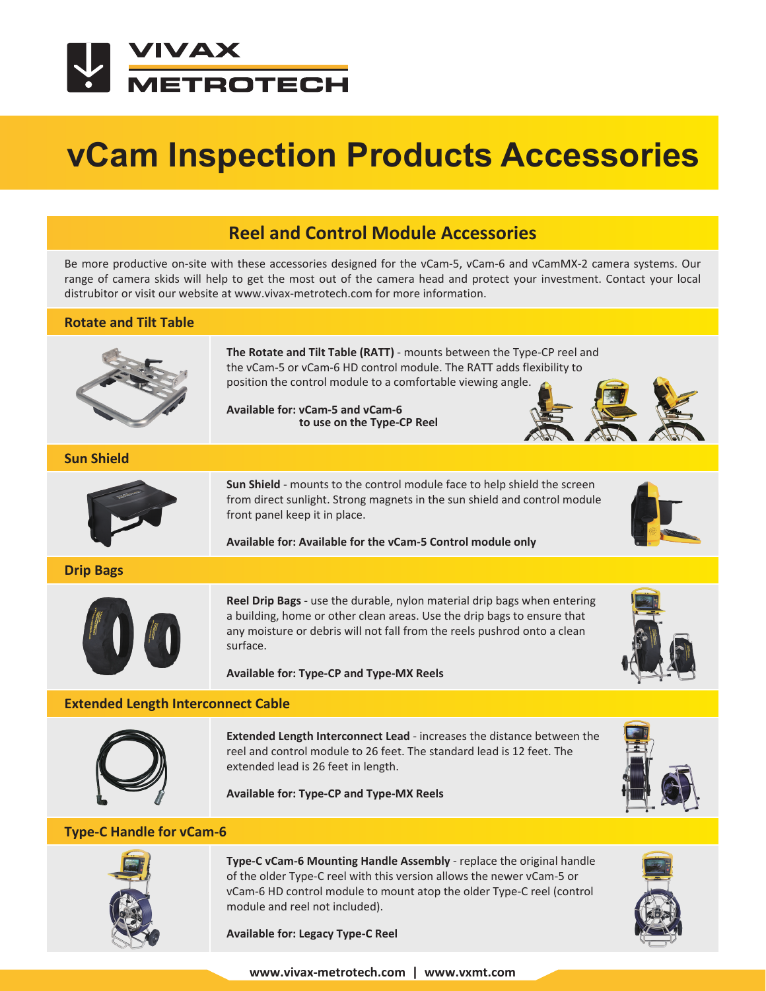

# **vCam Inspection Products Accessories**

## **Reel and Control Module Accessories**

Be more productive on-site with these accessories designed for the vCam-5, vCam-6 and vCamMX-2 camera systems. Our range of camera skids will help to get the most out of the camera head and protect your investment. Contact your local distrubitor or visit our website at www.vivax-metrotech.com for more information.

#### **Rotate and Tilt Table**



**The Rotate and Tilt Table (RATT)** - mounts between the Type-CP reel and the vCam-5 or vCam-6 HD control module. The RATT adds flexibility to position the control module to a comfortable viewing angle.

**Available for: vCam-5 and vCam-6 to use on the Type-CP Reel**



#### **Sun Shield**



**Sun Shield** - mounts to the control module face to help shield the screen from direct sunlight. Strong magnets in the sun shield and control module front panel keep it in place.

**Available for: Available for the vCam-5 Control module only**



**Drip Bags**



**Reel Drip Bags** - use the durable, nylon material drip bags when entering a building, home or other clean areas. Use the drip bags to ensure that any moisture or debris will not fall from the reels pushrod onto a clean surface.

**Available for: Type-CP and Type-MX Reels**

#### **Extended Length Interconnect Cable**



**Extended Length Interconnect Lead** - increases the distance between the reel and control module to 26 feet. The standard lead is 12 feet. The extended lead is 26 feet in length.

**Available for: Type-CP and Type-MX Reels**



### **Type-C Handle for vCam-6**



**Type-C vCam-6 Mounting Handle Assembly** - replace the original handle of the older Type-C reel with this version allows the newer vCam-5 or vCam-6 HD control module to mount atop the older Type-C reel (control module and reel not included).

**Available for: Legacy Type-C Reel**